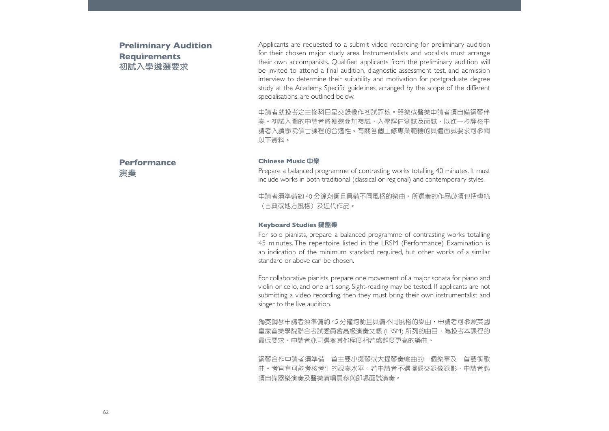# **Preliminary Audition Requirements 初試入學遴選要求**

Applicants are requested to a submit video recording for preliminary audition for their chosen major study area. Instrumentalists and vocalists must arrange their own accompanists. Oualified applicants from the preliminary audition will be invited to attend a final audition, diagnostic assessment test, and admission interview to determine their suitability and motivation for postgraduate degree study at the Academy. Specific guidelines, arranged by the scope of the different specialisations, are outlined below.

申請者就投考之主修科目呈交錄像作初試評核。器樂或聲樂申請者須自備鋼琴伴奏。初試入圍的申請者將獲邀參加複試、入學評估測試及面試,以進一步評核申 請者入讀學院碩士課程的合適性。有關各個主修專業範疇的具體面試要求可參閱以下資料。

# **Performance演奏**

#### **Chinese Music 中樂**

Prepare a balanced programme of contrasting works totalling 40 minutes. It must include works in both traditional (classical or regional) and contemporary styles.

申請者須準備約 40 分鐘均衡且具備不同風格的樂曲,所選奏的作品必須包括傳統 (古典或地方風格)及沂代作品。

#### **Keyboard Studies 鍵盤樂**

For solo pianists, prepare a balanced programme of contrasting works totalling 45 minutes. The repertoire listed in the LRSM (Performance) Examination is an indication of the minimum standard required, but other works of a similar standard or above can be chosen.

For collaborative pianists, prepare one movement of a major sonata for piano and violin or cello, and one art song. Sight-reading may be tested. If applicants are not submitting a video recording, then they must bring their own instrumentalist and singer to the live audition.

獨奏鋼琴申請者須準備約 45 分鐘均衡且具備不同風格的樂曲,申請者可參照英國 皇家音樂學院聯合考試委員會高級演奏文憑 (LRSM) 所列的曲目,為投考本課程的 最低要求,申請者亦可選奏其他程度相若或難度更高的樂曲。

鋼琴合作申請者須準備一首主要小提琴或大提琴奏鳴曲的一個樂章及一首藝術歌 曲。考官有可能考核考生的視奏水平。若申請者不選擇遞交錄像錄影,申請者必須自備器樂演奏及聲樂演唱員參與即場面試演奏。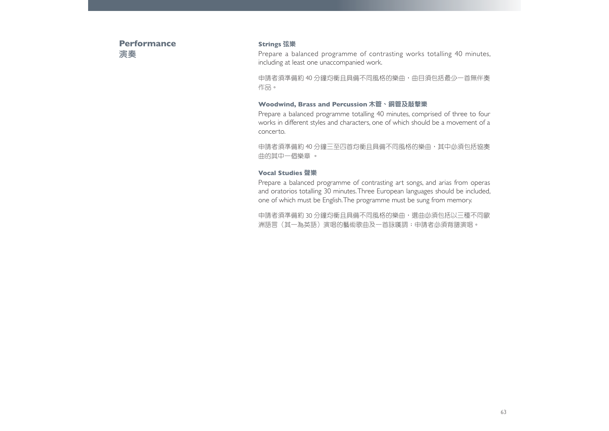**Performance演奏**

## **Strings 弦樂**

Prepare a balanced programme of contrasting works totalling 40 minutes, including at least one unaccompanied work.

申請者須準備約 40 分鐘均衡且具備不同風格的樂曲,曲目須包括最少一首無伴奏 作品。

## **Woodwind, Brass and Percussion 木管、銅管及敲擊樂**

Prepare a balanced programme totalling 40 minutes, comprised of three to four works in different styles and characters, one of which should be a movement of a concerto.

申請者須準備約 40 分鐘三至四首均衡且具備不同風格的樂曲,其中必須包括協奏 曲的其中一個樂章 。

#### **Vocal Studies 聲樂**

Prepare a balanced programme of contrasting art songs, and arias from operas and oratorios totalling 30 minutes. Three European languages should be included, one of which must be English. The programme must be sung from memory.

申請者須準備約 30 分鐘均衡且具備不同風格的樂曲,選曲必須包括以三種不同歐 洲語言(其一為英語)演唱的藝術歌曲及一首詠嘆調;申請者必須背譜演唱。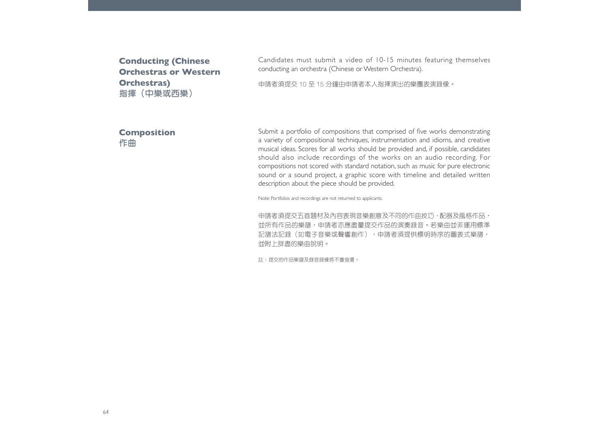**Conducting (Chinese Orchestras or Western Orchestras) 指揮(中樂或西樂)**

Candidates must submit a video of 10-15 minutes featuring themselves conducting an orchestra (Chinese or Western Orchestra).

申請者須提交 10 至 15 分鐘由申請者本人指揮演出的樂團表演錄像。

## **Composition 作曲**

Submit a portfolio of compositions that comprised of five works demonstrating a variety of compositional techniques, instrumentation and idioms, and creative musical ideas. Scores for all works should be provided and, if possible, candidates should also include recordings of the works on an audio recording. For compositions not scored with standard notation, such as music for pure electronic sound or a sound project, a graphic score with timeline and detailed written description about the piece should be provided.

Note: Portfolios and recordings are not returned to applicants.

申請者須提交五首題材及內容表現音樂創意及不同的作曲技巧、配器及風格作品,並所有作品的樂譜,申請者亦應盡量提交作品的演奏錄音。若樂曲並非運用標準記譜法記錄(如電子音樂或聲響創作),申請者須提供標明時序的圖表式樂譜, 並附上詳盡的樂曲說明。

註:提交的作品樂譜及錄音錄像將不獲發還。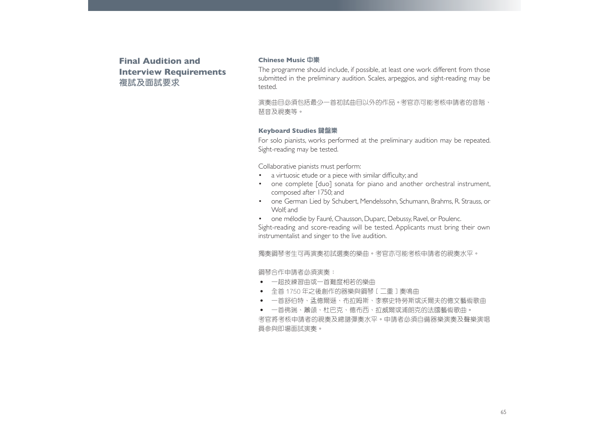**Final Audition and Interview Requirements 複試及面試要求**

#### **Chinese Music 中樂**

The programme should include, if possible, at least one work different from those submitted in the preliminary audition. Scales, arpeggios, and sight-reading may be tested.

演奏曲目必須包括最少一首初試曲目以外的作品。考官亦可能考核申請者的音階、琶音及視奏等。

#### **Keyboard Studies 鍵盤樂**

For solo pianists, works performed at the preliminary audition may be repeated. Sight-reading may be tested.

Collaborative pianists must perform:

- a virtuosic etude or a piece with similar difficulty; and
- one complete [duo] sonata for piano and another orchestral instrument, composed after 1750; and
- one German Lied by Schubert, Mendelssohn, Schumann, Brahms, R. Strauss, or Wolf; and

• one mélodie by Fauré, Chausson, Duparc, Debussy, Ravel, or Poulenc, Sight-reading and score-reading will be tested. Applicants must bring their own instrumentalist and singer to the live audition.

獨奏鋼琴考生可再演奏初試選奏的樂曲。考官亦可能考核申請者的視奏水平。

鋼琴合作申請者必須演奏:

- ‧ 一超技練習曲或一首難度相若的樂曲
- ‧ 全首 1750 年之後創作的器樂與鋼琴[二重]奏鳴曲
- 一首舒伯特、孟德爾遜、布拉姆斯、李察史特勞斯或沃爾夫的德文藝術歌曲
- 一首佛瑞、蕭頌、杜巴克、德布西、拉威爾或浦朗克的法國藝術歌曲。

考官將考核申請者的視奏及總譜彈奏水平。申請者必須自備器樂演奏及聲樂演唱員參與即場面試演奏。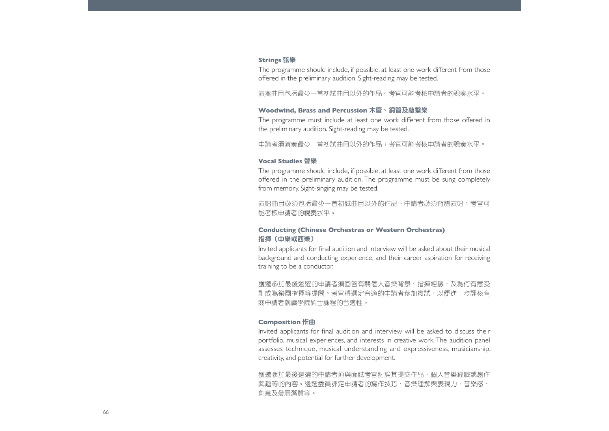#### **Strings 弦樂**

The programme should include, if possible, at least one work different from those offered in the preliminary audition. Sight-reading may be tested.

演奏曲目包括最少一首初試曲目以外的作品。考官可能考核申請者的視奏水平。

#### **Woodwind, Brass and Percussion 木管、銅管及敲擊樂**

The programme must include at least one work different from those offered in the preliminary audition. Sight-reading may be tested.

申請者須演奏最少一首初試曲目以外的作品;考官可能考核申請者的視奏水平。

#### **Vocal Studies 聲樂**

The programme should include, if possible, at least one work different from those offered in the preliminary audition. The programme must be sung completely from memory. Sight-singing may be tested.

演唱曲目必須包括最少一首初試曲目以外的作品。申請者必須背譜演唱;考官可能考核申請者的視奏水平。

## **Conducting (Chinese Orchestras or Western Orchestras) 指揮(中樂或西樂)**

Invited applicants for final audition and interview will be asked about their musical background and conducting experience, and their career aspiration for receiving training to be a conductor.

獲邀參加最後遴選的申請者須回答有關個人音樂背景、指揮經驗,及為何有意受 訓成為樂團指揮等提問。考官將選定合適的申請者參加複試,以便進一步評核有關申請者就讀學院碩士課程的合適性。

### **Composition 作曲**

Invited applicants for final audition and interview will be asked to discuss their portfolio, musical experiences, and interests in creative work. The audition panel assesses technique, musical understanding and expressiveness, musicianship, creativity, and potential for further development.

獲邀參加最後遴選的申請者須與面試考官討論其提交作品、個人音樂經驗或創作 興趣等的內容。遴選委員評定申請者的寫作技巧、音樂理解與表現力、音樂感、 創意及發展潛質等。